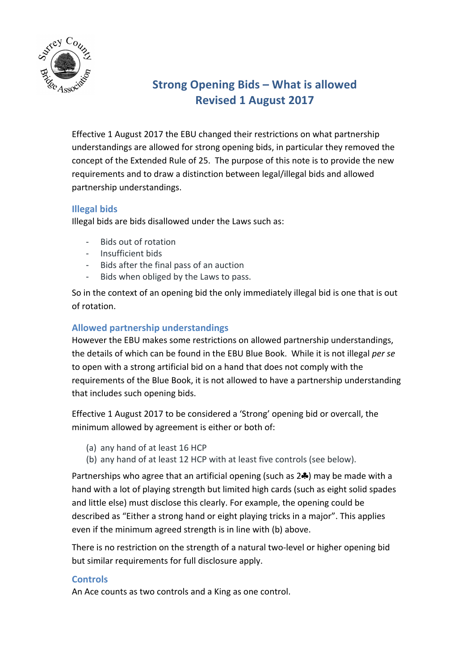

# **Strong Opening Bids - What is allowed Revised 1 August 2017**

Effective 1 August 2017 the EBU changed their restrictions on what partnership understandings are allowed for strong opening bids, in particular they removed the concept of the Extended Rule of 25. The purpose of this note is to provide the new requirements and to draw a distinction between legal/illegal bids and allowed partnership understandings.

# **Illegal bids**

Illegal bids are bids disallowed under the Laws such as:

- Bids out of rotation
- Insufficient bids
- Bids after the final pass of an auction
- Bids when obliged by the Laws to pass.

So in the context of an opening bid the only immediately illegal bid is one that is out of rotation.

# **Allowed partnership understandings**

However the EBU makes some restrictions on allowed partnership understandings, the details of which can be found in the EBU Blue Book. While it is not illegal *per se* to open with a strong artificial bid on a hand that does not comply with the requirements of the Blue Book, it is not allowed to have a partnership understanding that includes such opening bids.

Effective 1 August 2017 to be considered a 'Strong' opening bid or overcall, the minimum allowed by agreement is either or both of:

- (a) any hand of at least 16 HCP
- (b) any hand of at least 12 HCP with at least five controls (see below).

Partnerships who agree that an artificial opening (such as  $2\clubsuit$ ) may be made with a hand with a lot of playing strength but limited high cards (such as eight solid spades and little else) must disclose this clearly. For example, the opening could be described as "Either a strong hand or eight playing tricks in a major". This applies even if the minimum agreed strength is in line with (b) above.

There is no restriction on the strength of a natural two-level or higher opening bid but similar requirements for full disclosure apply.

### **Controls**

An Ace counts as two controls and a King as one control.